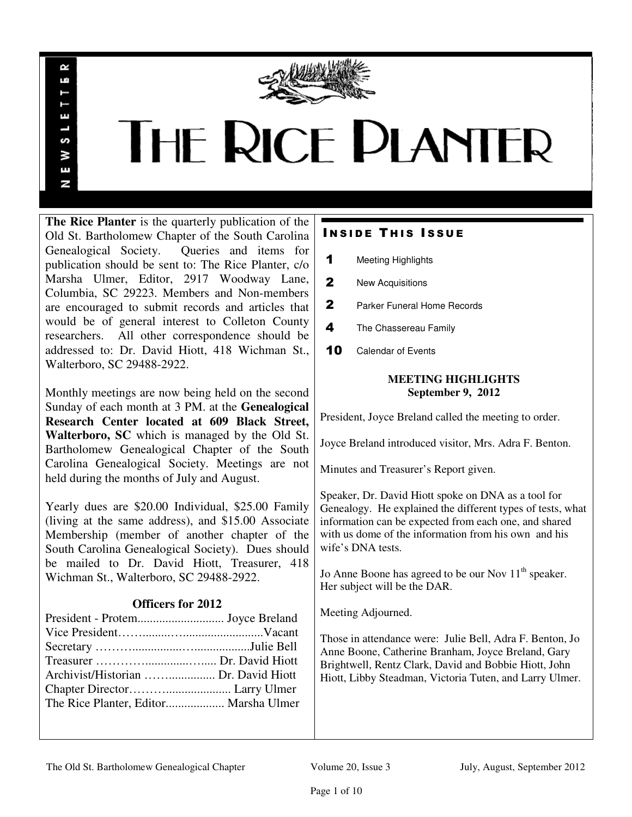

# **THE RICE PLANTER**

**The Rice Planter** is the quarterly publication of the Old St. Bartholomew Chapter of the South Carolina Genealogical Society. Queries and items for publication should be sent to: The Rice Planter, c/o Marsha Ulmer, Editor, 2917 Woodway Lane, Columbia, SC 29223. Members and Non-members are encouraged to submit records and articles that would be of general interest to Colleton County researchers. All other correspondence should be addressed to: Dr. David Hiott, 418 Wichman St., Walterboro, SC 29488-2922.

R uń

П

S š E N

Monthly meetings are now being held on the second Sunday of each month at 3 PM. at the **Genealogical Research Center located at 609 Black Street, Walterboro, SC** which is managed by the Old St. Bartholomew Genealogical Chapter of the South Carolina Genealogical Society. Meetings are not held during the months of July and August.

Yearly dues are \$20.00 Individual, \$25.00 Family (living at the same address), and \$15.00 Associate Membership (member of another chapter of the South Carolina Genealogical Society). Dues should be mailed to Dr. David Hiott, Treasurer, 418 Wichman St., Walterboro, SC 29488-2922.

# **Officers for 2012**

| Archivist/Historian  Dr. David Hiott |  |
|--------------------------------------|--|
|                                      |  |
|                                      |  |
|                                      |  |

# **INSIDE THIS ISSUE**

- 1 Meeting Highlights
- 2 New Acquisitions
- 2 Parker Funeral Home Records
- 4 The Chassereau Family
- 10 Calendar of Events

# **MEETING HIGHLIGHTS September 9, 2012**

President, Joyce Breland called the meeting to order.

Joyce Breland introduced visitor, Mrs. Adra F. Benton.

Minutes and Treasurer's Report given.

Speaker, Dr. David Hiott spoke on DNA as a tool for Genealogy. He explained the different types of tests, what information can be expected from each one, and shared with us dome of the information from his own and his wife's DNA tests.

Jo Anne Boone has agreed to be our Nov  $11<sup>th</sup>$  speaker. Her subject will be the DAR.

Meeting Adjourned.

Those in attendance were: Julie Bell, Adra F. Benton, Jo Anne Boone, Catherine Branham, Joyce Breland, Gary Brightwell, Rentz Clark, David and Bobbie Hiott, John Hiott, Libby Steadman, Victoria Tuten, and Larry Ulmer.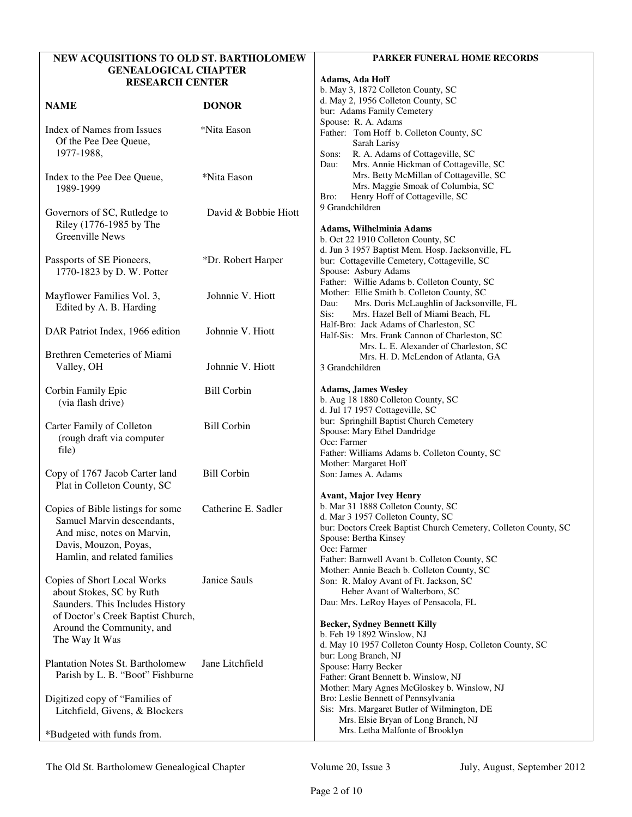| NEW ACQUISITIONS TO OLD ST. BARTHOLOMEW |                      | <b>PARKER FUNERAL HOME RECORDS</b>                                                                |
|-----------------------------------------|----------------------|---------------------------------------------------------------------------------------------------|
| <b>GENEALOGICAL CHAPTER</b>             |                      | Adams, Ada Hoff                                                                                   |
| <b>RESEARCH CENTER</b>                  |                      | b. May 3, 1872 Colleton County, SC                                                                |
|                                         |                      | d. May 2, 1956 Colleton County, SC                                                                |
| <b>NAME</b>                             | <b>DONOR</b>         | bur: Adams Family Cemetery                                                                        |
|                                         |                      | Spouse: R. A. Adams                                                                               |
| Index of Names from Issues              | *Nita Eason          | Father: Tom Hoff b. Colleton County, SC                                                           |
| Of the Pee Dee Queue,<br>1977-1988,     |                      | Sarah Larisy                                                                                      |
|                                         |                      | R. A. Adams of Cottageville, SC<br>Sons:<br>Mrs. Annie Hickman of Cottageville, SC<br>Dau:        |
| Index to the Pee Dee Queue,             | *Nita Eason          | Mrs. Betty McMillan of Cottageville, SC                                                           |
| 1989-1999                               |                      | Mrs. Maggie Smoak of Columbia, SC                                                                 |
|                                         |                      | Henry Hoff of Cottageville, SC<br>Bro:                                                            |
| Governors of SC, Rutledge to            | David & Bobbie Hiott | 9 Grandchildren                                                                                   |
| Riley (1776-1985 by The                 |                      |                                                                                                   |
| Greenville News                         |                      | Adams, Wilhelminia Adams                                                                          |
|                                         |                      | b. Oct 22 1910 Colleton County, SC                                                                |
| Passports of SE Pioneers,               | *Dr. Robert Harper   | d. Jun 3 1957 Baptist Mem. Hosp. Jacksonville, FL<br>bur: Cottageville Cemetery, Cottageville, SC |
| 1770-1823 by D. W. Potter               |                      | Spouse: Asbury Adams                                                                              |
|                                         |                      | Father: Willie Adams b. Colleton County, SC                                                       |
| Mayflower Families Vol. 3,              | Johnnie V. Hiott     | Mother: Ellie Smith b. Colleton County, SC                                                        |
| Edited by A. B. Harding                 |                      | Mrs. Doris McLaughlin of Jacksonville, FL<br>Dau:                                                 |
|                                         |                      | Mrs. Hazel Bell of Miami Beach, FL<br>Sis:                                                        |
| DAR Patriot Index, 1966 edition         | Johnnie V. Hiott     | Half-Bro: Jack Adams of Charleston, SC                                                            |
|                                         |                      | Half-Sis: Mrs. Frank Cannon of Charleston, SC                                                     |
| <b>Brethren Cemeteries of Miami</b>     |                      | Mrs. L. E. Alexander of Charleston, SC                                                            |
| Valley, OH                              | Johnnie V. Hiott     | Mrs. H. D. McLendon of Atlanta, GA<br>3 Grandchildren                                             |
|                                         |                      |                                                                                                   |
| Corbin Family Epic                      | <b>Bill Corbin</b>   | <b>Adams, James Wesley</b>                                                                        |
| (via flash drive)                       |                      | b. Aug 18 1880 Colleton County, SC                                                                |
|                                         |                      | d. Jul 17 1957 Cottageville, SC                                                                   |
| Carter Family of Colleton               | <b>Bill Corbin</b>   | bur: Springhill Baptist Church Cemetery                                                           |
| (rough draft via computer               |                      | Spouse: Mary Ethel Dandridge                                                                      |
| file)                                   |                      | Occ: Farmer                                                                                       |
|                                         |                      | Father: Williams Adams b. Colleton County, SC<br>Mother: Margaret Hoff                            |
| Copy of 1767 Jacob Carter land          | <b>Bill Corbin</b>   | Son: James A. Adams                                                                               |
| Plat in Colleton County, SC             |                      |                                                                                                   |
|                                         |                      | <b>Avant, Major Ivey Henry</b>                                                                    |
| Copies of Bible listings for some       | Catherine E. Sadler  | b. Mar 31 1888 Colleton County, SC                                                                |
| Samuel Marvin descendants,              |                      | d. Mar 3 1957 Colleton County, SC                                                                 |
| And misc, notes on Marvin,              |                      | bur: Doctors Creek Baptist Church Cemetery, Colleton County, SC                                   |
| Davis, Mouzon, Poyas,                   |                      | Spouse: Bertha Kinsey<br>Occ: Farmer                                                              |
| Hamlin, and related families            |                      | Father: Barnwell Avant b. Colleton County, SC                                                     |
|                                         |                      | Mother: Annie Beach b. Colleton County, SC                                                        |
| Copies of Short Local Works             | Janice Sauls         | Son: R. Maloy Avant of Ft. Jackson, SC                                                            |
| about Stokes, SC by Ruth                |                      | Heber Avant of Walterboro, SC                                                                     |
| Saunders. This Includes History         |                      | Dau: Mrs. LeRoy Hayes of Pensacola, FL                                                            |
| of Doctor's Creek Baptist Church,       |                      |                                                                                                   |
| Around the Community, and               |                      | <b>Becker, Sydney Bennett Killy</b>                                                               |
| The Way It Was                          |                      | b. Feb 19 1892 Winslow, NJ                                                                        |
|                                         |                      | d. May 10 1957 Colleton County Hosp, Colleton County, SC<br>bur: Long Branch, NJ                  |
| <b>Plantation Notes St. Bartholomew</b> | Jane Litchfield      | Spouse: Harry Becker                                                                              |
| Parish by L. B. "Boot" Fishburne        |                      | Father: Grant Bennett b. Winslow, NJ                                                              |
|                                         |                      | Mother: Mary Agnes McGloskey b. Winslow, NJ                                                       |
| Digitized copy of "Families of          |                      | Bro: Leslie Bennett of Pennsylvania                                                               |
| Litchfield, Givens, & Blockers          |                      | Sis: Mrs. Margaret Butler of Wilmington, DE                                                       |
|                                         |                      | Mrs. Elsie Bryan of Long Branch, NJ                                                               |
| *Budgeted with funds from.              |                      | Mrs. Letha Malfonte of Brooklyn                                                                   |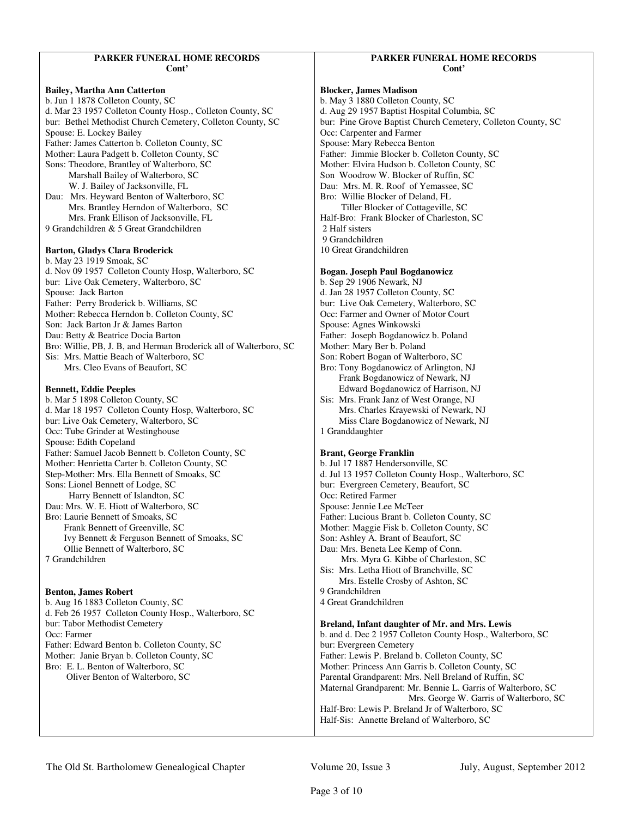# **PARKER FUNERAL HOME RECORDS Cont'**

# **Bailey, Martha Ann Catterton**  b. Jun 1 1878 Colleton County, SC d. Mar 23 1957 Colleton County Hosp., Colleton County, SC bur: Bethel Methodist Church Cemetery, Colleton County, SC Spouse: E. Lockey Bailey Father: James Catterton b. Colleton County, SC Mother: Laura Padgett b. Colleton County, SC Sons: Theodore, Brantley of Walterboro, SC Marshall Bailey of Walterboro, SC W. J. Bailey of Jacksonville, FL Dau: Mrs. Heyward Benton of Walterboro, SC Mrs. Brantley Herndon of Walterboro, SC Mrs. Frank Ellison of Jacksonville, FL 9 Grandchildren & 5 Great Grandchildren **Barton, Gladys Clara Broderick**  b. May 23 1919 Smoak, SC d. Nov 09 1957 Colleton County Hosp, Walterboro, SC bur: Live Oak Cemetery, Walterboro, SC Spouse: Jack Barton Father: Perry Broderick b. Williams, SC Mother: Rebecca Herndon b. Colleton County, SC Son: Jack Barton Jr & James Barton Dau: Betty & Beatrice Docia Barton Bro: Willie, PB, J. B, and Herman Broderick all of Walterboro, SC Sis: Mrs. Mattie Beach of Walterboro, SC Mrs. Cleo Evans of Beaufort, SC

#### **Bennett, Eddie Peeples**

b. Mar 5 1898 Colleton County, SC d. Mar 18 1957 Colleton County Hosp, Walterboro, SC bur: Live Oak Cemetery, Walterboro, SC Occ: Tube Grinder at Westinghouse Spouse: Edith Copeland Father: Samuel Jacob Bennett b. Colleton County, SC Mother: Henrietta Carter b. Colleton County, SC Step-Mother: Mrs. Ella Bennett of Smoaks, SC Sons: Lionel Bennett of Lodge, SC Harry Bennett of Islandton, SC Dau: Mrs. W. E. Hiott of Walterboro, SC Bro: Laurie Bennett of Smoaks, SC Frank Bennett of Greenville, SC Ivy Bennett & Ferguson Bennett of Smoaks, SC Ollie Bennett of Walterboro, SC 7 Grandchildren

# **Benton, James Robert**

b. Aug 16 1883 Colleton County, SC d. Feb 26 1957 Colleton County Hosp., Walterboro, SC bur: Tabor Methodist Cemetery Occ: Farmer Father: Edward Benton b. Colleton County, SC Mother: Janie Bryan b. Colleton County, SC Bro: E. L. Benton of Walterboro, SC Oliver Benton of Walterboro, SC

# **PARKER FUNERAL HOME RECORDS Cont'**

# **Blocker, James Madison**

b. May 3 1880 Colleton County, SC d. Aug 29 1957 Baptist Hospital Columbia, SC bur: Pine Grove Baptist Church Cemetery, Colleton County, SC Occ: Carpenter and Farmer Spouse: Mary Rebecca Benton Father: Jimmie Blocker b. Colleton County, SC Mother: Elvira Hudson b. Colleton County, SC Son Woodrow W. Blocker of Ruffin, SC Dau: Mrs. M. R. Roof of Yemassee, SC Bro: Willie Blocker of Deland, FL Tiller Blocker of Cottageville, SC Half-Bro: Frank Blocker of Charleston, SC 2 Half sisters 9 Grandchildren 10 Great Grandchildren **Bogan. Joseph Paul Bogdanowicz** 

b. Sep 29 1906 Newark, NJ d. Jan 28 1957 Colleton County, SC bur: Live Oak Cemetery, Walterboro, SC Occ: Farmer and Owner of Motor Court Spouse: Agnes Winkowski Father: Joseph Bogdanowicz b. Poland Mother: Mary Ber b. Poland Son: Robert Bogan of Walterboro, SC Bro: Tony Bogdanowicz of Arlington, NJ Frank Bogdanowicz of Newark, NJ Edward Bogdanowicz of Harrison, NJ Sis: Mrs. Frank Janz of West Orange, NJ Mrs. Charles Krayewski of Newark, NJ Miss Clare Bogdanowicz of Newark, NJ 1 Granddaughter

# **Brant, George Franklin**

b. Jul 17 1887 Hendersonville, SC d. Jul 13 1957 Colleton County Hosp., Walterboro, SC bur: Evergreen Cemetery, Beaufort, SC Occ: Retired Farmer Spouse: Jennie Lee McTeer Father: Lucious Brant b. Colleton County, SC Mother: Maggie Fisk b. Colleton County, SC Son: Ashley A. Brant of Beaufort, SC Dau: Mrs. Beneta Lee Kemp of Conn. Mrs. Myra G. Kibbe of Charleston, SC Sis: Mrs. Letha Hiott of Branchville, SC Mrs. Estelle Crosby of Ashton, SC 9 Grandchildren 4 Great Grandchildren

# **Breland, Infant daughter of Mr. and Mrs. Lewis**

b. and d. Dec 2 1957 Colleton County Hosp., Walterboro, SC bur: Evergreen Cemetery Father: Lewis P. Breland b. Colleton County, SC Mother: Princess Ann Garris b. Colleton County, SC Parental Grandparent: Mrs. Nell Breland of Ruffin, SC Maternal Grandparent: Mr. Bennie L. Garris of Walterboro, SC Mrs. George W. Garris of Walterboro, SC Half-Bro: Lewis P. Breland Jr of Walterboro, SC Half-Sis: Annette Breland of Walterboro, SC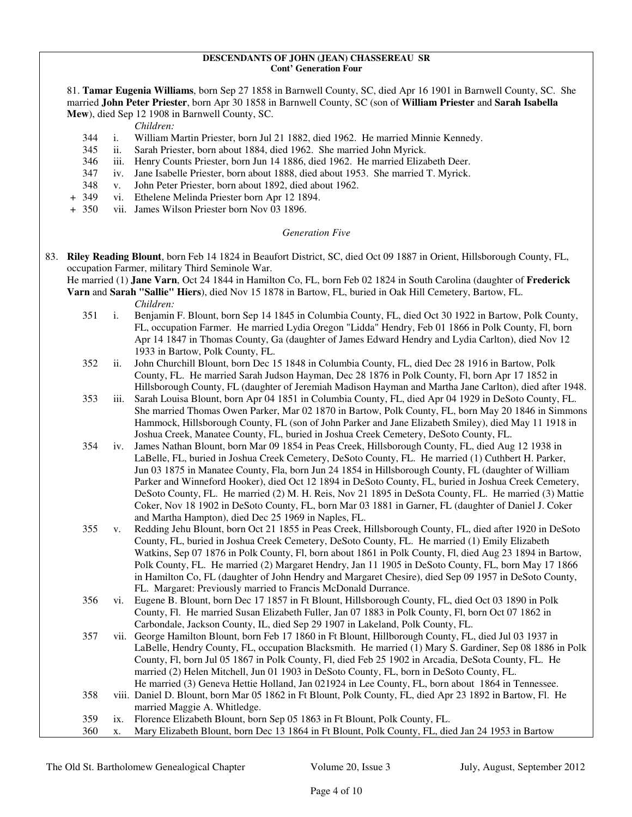#### **DESCENDANTS OF JOHN (JEAN) CHASSEREAU SR Cont' Generation Four**

81. **Tamar Eugenia Williams**, born Sep 27 1858 in Barnwell County, SC, died Apr 16 1901 in Barnwell County, SC. She married **John Peter Priester**, born Apr 30 1858 in Barnwell County, SC (son of **William Priester** and **Sarah Isabella Mew**), died Sep 12 1908 in Barnwell County, SC.

*Children:*

- 344 i. William Martin Priester, born Jul 21 1882, died 1962. He married Minnie Kennedy.
- 345 ii. Sarah Priester, born about 1884, died 1962. She married John Myrick.
- 346 iii. Henry Counts Priester, born Jun 14 1886, died 1962. He married Elizabeth Deer.
- 347 iv. Jane Isabelle Priester, born about 1888, died about 1953. She married T. Myrick.
- 348 v. John Peter Priester, born about 1892, died about 1962.
- + 349 vi. Ethelene Melinda Priester born Apr 12 1894.
- + 350 vii. James Wilson Priester born Nov 03 1896.

# *Generation Five*

83. **Riley Reading Blount**, born Feb 14 1824 in Beaufort District, SC, died Oct 09 1887 in Orient, Hillsborough County, FL, occupation Farmer, military Third Seminole War.

 He married (1) **Jane Varn**, Oct 24 1844 in Hamilton Co, FL, born Feb 02 1824 in South Carolina (daughter of **Frederick Varn** and **Sarah "Sallie" Hiers**), died Nov 15 1878 in Bartow, FL, buried in Oak Hill Cemetery, Bartow, FL.

- 351 i. Benjamin F. Blount, born Sep 14 1845 in Columbia County, FL, died Oct 30 1922 in Bartow, Polk County, FL, occupation Farmer. He married Lydia Oregon "Lidda" Hendry, Feb 01 1866 in Polk County, Fl, born Apr 14 1847 in Thomas County, Ga (daughter of James Edward Hendry and Lydia Carlton), died Nov 12 1933 in Bartow, Polk County, FL.
- 352 ii. John Churchill Blount, born Dec 15 1848 in Columbia County, FL, died Dec 28 1916 in Bartow, Polk County, FL. He married Sarah Judson Hayman, Dec 28 1876 in Polk County, Fl, born Apr 17 1852 in Hillsborough County, FL (daughter of Jeremiah Madison Hayman and Martha Jane Carlton), died after 1948.
- 353 iii. Sarah Louisa Blount, born Apr 04 1851 in Columbia County, FL, died Apr 04 1929 in DeSoto County, FL. She married Thomas Owen Parker, Mar 02 1870 in Bartow, Polk County, FL, born May 20 1846 in Simmons Hammock, Hillsborough County, FL (son of John Parker and Jane Elizabeth Smiley), died May 11 1918 in Joshua Creek, Manatee County, FL, buried in Joshua Creek Cemetery, DeSoto County, FL.
- 354 iv. James Nathan Blount, born Mar 09 1854 in Peas Creek, Hillsborough County, FL, died Aug 12 1938 in LaBelle, FL, buried in Joshua Creek Cemetery, DeSoto County, FL. He married (1) Cuthbert H. Parker, Jun 03 1875 in Manatee County, Fla, born Jun 24 1854 in Hillsborough County, FL (daughter of William Parker and Winneford Hooker), died Oct 12 1894 in DeSoto County, FL, buried in Joshua Creek Cemetery, DeSoto County, FL. He married (2) M. H. Reis, Nov 21 1895 in DeSota County, FL. He married (3) Mattie Coker, Nov 18 1902 in DeSoto County, FL, born Mar 03 1881 in Garner, FL (daughter of Daniel J. Coker and Martha Hampton), died Dec 25 1969 in Naples, FL.
- 355 v. Redding Jehu Blount, born Oct 21 1855 in Peas Creek, Hillsborough County, FL, died after 1920 in DeSoto County, FL, buried in Joshua Creek Cemetery, DeSoto County, FL. He married (1) Emily Elizabeth Watkins, Sep 07 1876 in Polk County, Fl, born about 1861 in Polk County, Fl, died Aug 23 1894 in Bartow, Polk County, FL. He married (2) Margaret Hendry, Jan 11 1905 in DeSoto County, FL, born May 17 1866 in Hamilton Co, FL (daughter of John Hendry and Margaret Chesire), died Sep 09 1957 in DeSoto County, FL. Margaret: Previously married to Francis McDonald Durrance.
- 356 vi. Eugene B. Blount, born Dec 17 1857 in Ft Blount, Hillsborough County, FL, died Oct 03 1890 in Polk County, Fl. He married Susan Elizabeth Fuller, Jan 07 1883 in Polk County, Fl, born Oct 07 1862 in Carbondale, Jackson County, IL, died Sep 29 1907 in Lakeland, Polk County, FL.
- 357 vii. George Hamilton Blount, born Feb 17 1860 in Ft Blount, Hillborough County, FL, died Jul 03 1937 in LaBelle, Hendry County, FL, occupation Blacksmith. He married (1) Mary S. Gardiner, Sep 08 1886 in Polk County, Fl, born Jul 05 1867 in Polk County, Fl, died Feb 25 1902 in Arcadia, DeSota County, FL. He married (2) Helen Mitchell, Jun 01 1903 in DeSoto County, FL, born in DeSoto County, FL. He married (3) Geneva Hettie Holland, Jan 021924 in Lee County, FL, born about 1864 in Tennessee. 358 viii. Daniel D. Blount, born Mar 05 1862 in Ft Blount, Polk County, FL, died Apr 23 1892 in Bartow, Fl. He
- married Maggie A. Whitledge.
- 359 ix. Florence Elizabeth Blount, born Sep 05 1863 in Ft Blount, Polk County, FL.
- 360 x. Mary Elizabeth Blount, born Dec 13 1864 in Ft Blount, Polk County, FL, died Jan 24 1953 in Bartow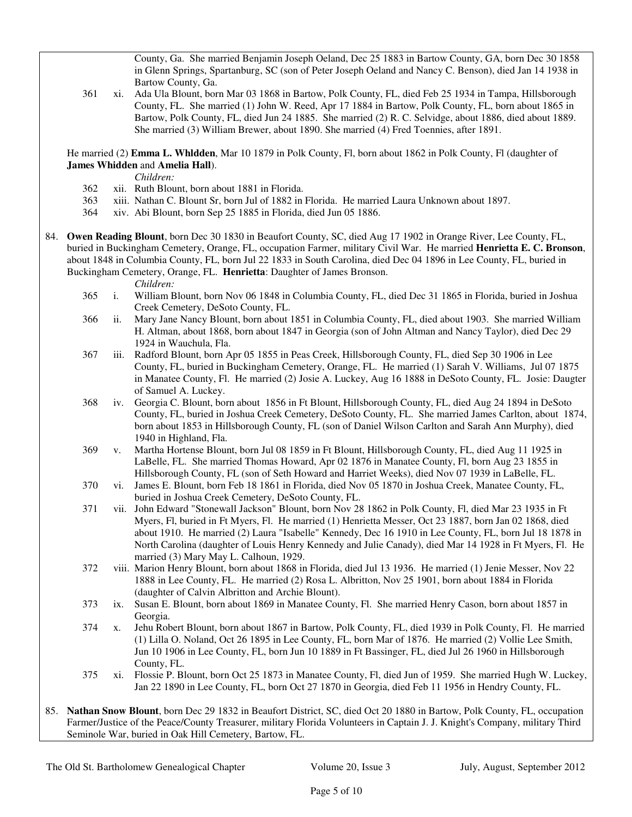County, Ga. She married Benjamin Joseph Oeland, Dec 25 1883 in Bartow County, GA, born Dec 30 1858 in Glenn Springs, Spartanburg, SC (son of Peter Joseph Oeland and Nancy C. Benson), died Jan 14 1938 in Bartow County, Ga.

 361 xi. Ada Ula Blount, born Mar 03 1868 in Bartow, Polk County, FL, died Feb 25 1934 in Tampa, Hillsborough County, FL. She married (1) John W. Reed, Apr 17 1884 in Bartow, Polk County, FL, born about 1865 in Bartow, Polk County, FL, died Jun 24 1885. She married (2) R. C. Selvidge, about 1886, died about 1889. She married (3) William Brewer, about 1890. She married (4) Fred Toennies, after 1891.

 He married (2) **Emma L. Whldden**, Mar 10 1879 in Polk County, Fl, born about 1862 in Polk County, Fl (daughter of **James Whidden** and **Amelia Hall**).

*Children:*

- 362 xii. Ruth Blount, born about 1881 in Florida.
- 363 xiii. Nathan C. Blount Sr, born Jul of 1882 in Florida. He married Laura Unknown about 1897.
- 364 xiv. Abi Blount, born Sep 25 1885 in Florida, died Jun 05 1886.
- 84. **Owen Reading Blount**, born Dec 30 1830 in Beaufort County, SC, died Aug 17 1902 in Orange River, Lee County, FL, buried in Buckingham Cemetery, Orange, FL, occupation Farmer, military Civil War. He married **Henrietta E. C. Bronson**, about 1848 in Columbia County, FL, born Jul 22 1833 in South Carolina, died Dec 04 1896 in Lee County, FL, buried in Buckingham Cemetery, Orange, FL. **Henrietta**: Daughter of James Bronson.

- 365 i. William Blount, born Nov 06 1848 in Columbia County, FL, died Dec 31 1865 in Florida, buried in Joshua Creek Cemetery, DeSoto County, FL.
- 366 ii. Mary Jane Nancy Blount, born about 1851 in Columbia County, FL, died about 1903. She married William H. Altman, about 1868, born about 1847 in Georgia (son of John Altman and Nancy Taylor), died Dec 29 1924 in Wauchula, Fla.
- 367 iii. Radford Blount, born Apr 05 1855 in Peas Creek, Hillsborough County, FL, died Sep 30 1906 in Lee County, FL, buried in Buckingham Cemetery, Orange, FL. He married (1) Sarah V. Williams, Jul 07 1875 in Manatee County, Fl. He married (2) Josie A. Luckey, Aug 16 1888 in DeSoto County, FL. Josie: Daugter of Samuel A. Luckey.
- 368 iv. Georgia C. Blount, born about 1856 in Ft Blount, Hillsborough County, FL, died Aug 24 1894 in DeSoto County, FL, buried in Joshua Creek Cemetery, DeSoto County, FL. She married James Carlton, about 1874, born about 1853 in Hillsborough County, FL (son of Daniel Wilson Carlton and Sarah Ann Murphy), died 1940 in Highland, Fla.
- 369 v. Martha Hortense Blount, born Jul 08 1859 in Ft Blount, Hillsborough County, FL, died Aug 11 1925 in LaBelle, FL. She married Thomas Howard, Apr 02 1876 in Manatee County, Fl, born Aug 23 1855 in Hillsborough County, FL (son of Seth Howard and Harriet Weeks), died Nov 07 1939 in LaBelle, FL.
- 370 vi. James E. Blount, born Feb 18 1861 in Florida, died Nov 05 1870 in Joshua Creek, Manatee County, FL, buried in Joshua Creek Cemetery, DeSoto County, FL.
- 371 vii. John Edward "Stonewall Jackson" Blount, born Nov 28 1862 in Polk County, Fl, died Mar 23 1935 in Ft Myers, Fl, buried in Ft Myers, Fl. He married (1) Henrietta Messer, Oct 23 1887, born Jan 02 1868, died about 1910. He married (2) Laura "Isabelle" Kennedy, Dec 16 1910 in Lee County, FL, born Jul 18 1878 in North Carolina (daughter of Louis Henry Kennedy and Julie Canady), died Mar 14 1928 in Ft Myers, Fl. He married (3) Mary May L. Calhoun, 1929.
- 372 viii. Marion Henry Blount, born about 1868 in Florida, died Jul 13 1936. He married (1) Jenie Messer, Nov 22 1888 in Lee County, FL. He married (2) Rosa L. Albritton, Nov 25 1901, born about 1884 in Florida (daughter of Calvin Albritton and Archie Blount).
- 373 ix. Susan E. Blount, born about 1869 in Manatee County, Fl. She married Henry Cason, born about 1857 in Georgia.
- 374 x. Jehu Robert Blount, born about 1867 in Bartow, Polk County, FL, died 1939 in Polk County, Fl. He married (1) Lilla O. Noland, Oct 26 1895 in Lee County, FL, born Mar of 1876. He married (2) Vollie Lee Smith, Jun 10 1906 in Lee County, FL, born Jun 10 1889 in Ft Bassinger, FL, died Jul 26 1960 in Hillsborough County, FL.
- 375 xi. Flossie P. Blount, born Oct 25 1873 in Manatee County, Fl, died Jun of 1959. She married Hugh W. Luckey, Jan 22 1890 in Lee County, FL, born Oct 27 1870 in Georgia, died Feb 11 1956 in Hendry County, FL.
- 85. **Nathan Snow Blount**, born Dec 29 1832 in Beaufort District, SC, died Oct 20 1880 in Bartow, Polk County, FL, occupation Farmer/Justice of the Peace/County Treasurer, military Florida Volunteers in Captain J. J. Knight's Company, military Third Seminole War, buried in Oak Hill Cemetery, Bartow, FL.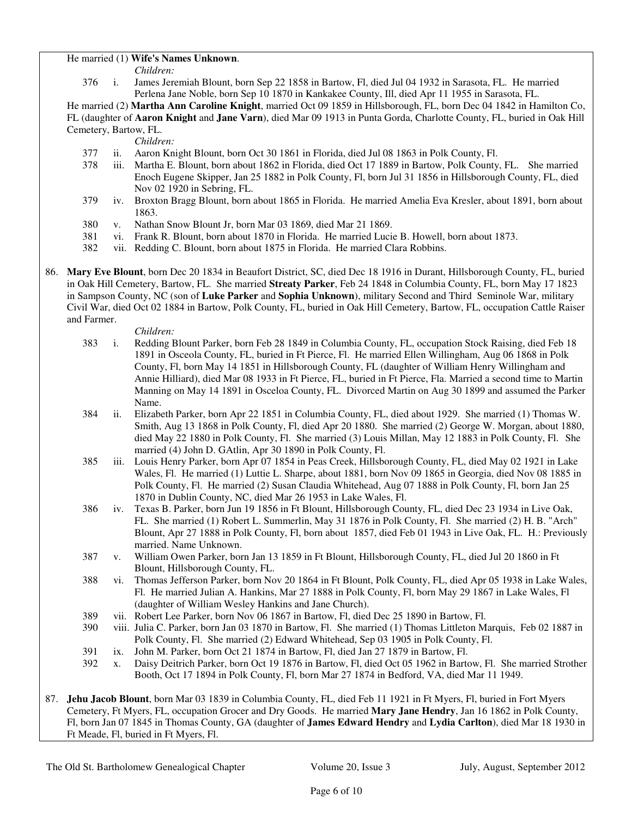# He married (1) **Wife's Names Unknown**.

*Children:*

 376 i. James Jeremiah Blount, born Sep 22 1858 in Bartow, Fl, died Jul 04 1932 in Sarasota, FL. He married Perlena Jane Noble, born Sep 10 1870 in Kankakee County, Ill, died Apr 11 1955 in Sarasota, FL.

 He married (2) **Martha Ann Caroline Knight**, married Oct 09 1859 in Hillsborough, FL, born Dec 04 1842 in Hamilton Co, FL (daughter of **Aaron Knight** and **Jane Varn**), died Mar 09 1913 in Punta Gorda, Charlotte County, FL, buried in Oak Hill Cemetery, Bartow, FL.

*Children:*

- 377 ii. Aaron Knight Blount, born Oct 30 1861 in Florida, died Jul 08 1863 in Polk County, Fl.
- 378 iii. Martha E. Blount, born about 1862 in Florida, died Oct 17 1889 in Bartow, Polk County, FL. She married Enoch Eugene Skipper, Jan 25 1882 in Polk County, Fl, born Jul 31 1856 in Hillsborough County, FL, died Nov 02 1920 in Sebring, FL.
- 379 iv. Broxton Bragg Blount, born about 1865 in Florida. He married Amelia Eva Kresler, about 1891, born about 1863.
- 380 v. Nathan Snow Blount Jr, born Mar 03 1869, died Mar 21 1869.
- 381 vi. Frank R. Blount, born about 1870 in Florida. He married Lucie B. Howell, born about 1873.
- 382 vii. Redding C. Blount, born about 1875 in Florida. He married Clara Robbins.
- 86. **Mary Eve Blount**, born Dec 20 1834 in Beaufort District, SC, died Dec 18 1916 in Durant, Hillsborough County, FL, buried in Oak Hill Cemetery, Bartow, FL. She married **Streaty Parker**, Feb 24 1848 in Columbia County, FL, born May 17 1823 in Sampson County, NC (son of **Luke Parker** and **Sophia Unknown**), military Second and Third Seminole War, military Civil War, died Oct 02 1884 in Bartow, Polk County, FL, buried in Oak Hill Cemetery, Bartow, FL, occupation Cattle Raiser and Farmer.

- 383 i. Redding Blount Parker, born Feb 28 1849 in Columbia County, FL, occupation Stock Raising, died Feb 18 1891 in Osceola County, FL, buried in Ft Pierce, Fl. He married Ellen Willingham, Aug 06 1868 in Polk County, Fl, born May 14 1851 in Hillsborough County, FL (daughter of William Henry Willingham and Annie Hilliard), died Mar 08 1933 in Ft Pierce, FL, buried in Ft Pierce, Fla. Married a second time to Martin Manning on May 14 1891 in Osceloa County, FL. Divorced Martin on Aug 30 1899 and assumed the Parker Name.
- 384 ii. Elizabeth Parker, born Apr 22 1851 in Columbia County, FL, died about 1929. She married (1) Thomas W. Smith, Aug 13 1868 in Polk County, Fl, died Apr 20 1880. She married (2) George W. Morgan, about 1880, died May 22 1880 in Polk County, Fl. She married (3) Louis Millan, May 12 1883 in Polk County, Fl. She married (4) John D. GAtlin, Apr 30 1890 in Polk County, Fl.
- 385 iii. Louis Henry Parker, born Apr 07 1854 in Peas Creek, Hillsborough County, FL, died May 02 1921 in Lake Wales, Fl. He married (1) Luttie L. Sharpe, about 1881, born Nov 09 1865 in Georgia, died Nov 08 1885 in Polk County, Fl. He married (2) Susan Claudia Whitehead, Aug 07 1888 in Polk County, Fl, born Jan 25 1870 in Dublin County, NC, died Mar 26 1953 in Lake Wales, Fl.
- 386 iv. Texas B. Parker, born Jun 19 1856 in Ft Blount, Hillsborough County, FL, died Dec 23 1934 in Live Oak, FL. She married (1) Robert L. Summerlin, May 31 1876 in Polk County, Fl. She married (2) H. B. "Arch" Blount, Apr 27 1888 in Polk County, Fl, born about 1857, died Feb 01 1943 in Live Oak, FL. H.: Previously married. Name Unknown.
- 387 v. William Owen Parker, born Jan 13 1859 in Ft Blount, Hillsborough County, FL, died Jul 20 1860 in Ft Blount, Hillsborough County, FL.
- 388 vi. Thomas Jefferson Parker, born Nov 20 1864 in Ft Blount, Polk County, FL, died Apr 05 1938 in Lake Wales, Fl. He married Julian A. Hankins, Mar 27 1888 in Polk County, Fl, born May 29 1867 in Lake Wales, Fl (daughter of William Wesley Hankins and Jane Church).
- 389 vii. Robert Lee Parker, born Nov 06 1867 in Bartow, Fl, died Dec 25 1890 in Bartow, Fl.
- 390 viii. Julia C. Parker, born Jan 03 1870 in Bartow, Fl. She married (1) Thomas Littleton Marquis, Feb 02 1887 in Polk County, Fl. She married (2) Edward Whitehead, Sep 03 1905 in Polk County, Fl.
- 391 ix. John M. Parker, born Oct 21 1874 in Bartow, Fl, died Jan 27 1879 in Bartow, Fl.
- 392 x. Daisy Deitrich Parker, born Oct 19 1876 in Bartow, Fl, died Oct 05 1962 in Bartow, Fl. She married Strother Booth, Oct 17 1894 in Polk County, Fl, born Mar 27 1874 in Bedford, VA, died Mar 11 1949.
- 87. **Jehu Jacob Blount**, born Mar 03 1839 in Columbia County, FL, died Feb 11 1921 in Ft Myers, Fl, buried in Fort Myers Cemetery, Ft Myers, FL, occupation Grocer and Dry Goods. He married **Mary Jane Hendry**, Jan 16 1862 in Polk County, Fl, born Jan 07 1845 in Thomas County, GA (daughter of **James Edward Hendry** and **Lydia Carlton**), died Mar 18 1930 in Ft Meade, Fl, buried in Ft Myers, Fl.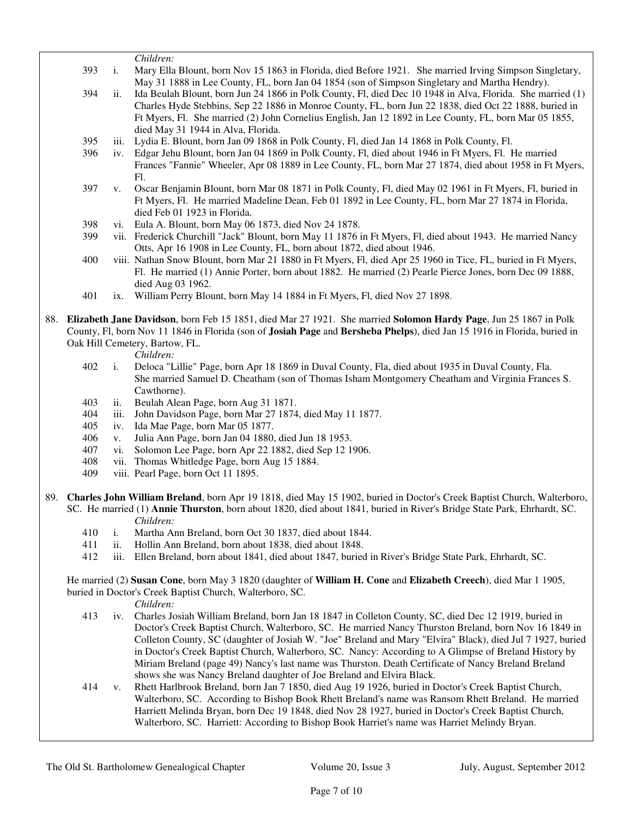|     |      | Children:                                                                                                     |
|-----|------|---------------------------------------------------------------------------------------------------------------|
| 393 | i.   | Mary Ella Blount, born Nov 15 1863 in Florida, died Before 1921. She married Irving Simpson Singletary,       |
|     |      | May 31 1888 in Lee County, FL, born Jan 04 1854 (son of Simpson Singletary and Martha Hendry).                |
| 394 | ii.  | Ida Beulah Blount, born Jun 24 1866 in Polk County, Fl, died Dec 10 1948 in Alva, Florida. She married (1)    |
|     |      | Charles Hyde Stebbins, Sep 22 1886 in Monroe County, FL, born Jun 22 1838, died Oct 22 1888, buried in        |
|     |      | Ft Myers, Fl. She married (2) John Cornelius English, Jan 12 1892 in Lee County, FL, born Mar 05 1855,        |
|     |      | died May 31 1944 in Alva, Florida.                                                                            |
| 395 | 111. | Lydia E. Blount, born Jan 09 1868 in Polk County, Fl, died Jan 14 1868 in Polk County, Fl.                    |
| 396 | 1V.  | Edgar Jehu Blount, born Jan 04 1869 in Polk County, Fl, died about 1946 in Ft Myers, Fl. He married           |
|     |      | Frances "Fannie" Wheeler, Apr 08 1889 in Lee County, FL, born Mar 27 1874, died about 1958 in Ft Myers,       |
|     |      | Fl.                                                                                                           |
| 397 | V.   | Oscar Benjamin Blount, born Mar 08 1871 in Polk County, Fl, died May 02 1961 in Ft Myers, Fl, buried in       |
|     |      | Ft Myers, Fl. He married Madeline Dean, Feb 01 1892 in Lee County, FL, born Mar 27 1874 in Florida,           |
|     |      | died Feb 01 1923 in Florida.                                                                                  |
| 398 | V1.  | Eula A. Blount, born May 06 1873, died Nov 24 1878.                                                           |
| 399 |      | vii. Frederick Churchill "Jack" Blount, born May 11 1876 in Ft Myers, Fl, died about 1943. He married Nancy   |
|     |      | Otts, Apr 16 1908 in Lee County, FL, born about 1872, died about 1946.                                        |
| 400 |      | viii. Nathan Snow Blount, born Mar 21 1880 in Ft Myers, Fl, died Apr 25 1960 in Tice, FL, buried in Ft Myers, |
|     |      | Fl. He married (1) Annie Porter, born about 1882. He married (2) Pearle Pierce Jones, born Dec 09 1888.       |

- 
- 398 vi. Eula A. Blount, born May 06 1873, died Nov 24 1878.
- 399 vii. Frederick Churchill "Jack" Blount, born May 11 1876 in Ft Myers, Fl, died about 1943. He married Nancy
- 400 viii. Nathan Snow Blount, born Mar 21 1880 in Ft Myers, Fl, died Apr 25 1960 in Tice, FL, buried in Ft Myers, Fl. He married (1) Annie Porter, born about 1882. He married (2) Pearle Pierce Jones, born Dec 09 1888, died Aug 03 1962.
	- 401 ix. William Perry Blount, born May 14 1884 in Ft Myers, Fl, died Nov 27 1898.
- 88. **Elizabeth Jane Davidson**, born Feb 15 1851, died Mar 27 1921. She married **Solomon Hardy Page**, Jun 25 1867 in Polk County, Fl, born Nov 11 1846 in Florida (son of **Josiah Page** and **Bersheba Phelps**), died Jan 15 1916 in Florida, buried in Oak Hill Cemetery, Bartow, FL.

*Children:*

- 402 i. Deloca "Lillie" Page, born Apr 18 1869 in Duval County, Fla, died about 1935 in Duval County, Fla. She married Samuel D. Cheatham (son of Thomas Isham Montgomery Cheatham and Virginia Frances S. Cawthorne).
- 403 ii. Beulah Alean Page, born Aug 31 1871.
- 404 iii. John Davidson Page, born Mar 27 1874, died May 11 1877.
- 405 iv. Ida Mae Page, born Mar 05 1877.
- 406 v. Julia Ann Page, born Jan 04 1880, died Jun 18 1953.
- 407 vi. Solomon Lee Page, born Apr 22 1882, died Sep 12 1906.
- 408 vii. Thomas Whitledge Page, born Aug 15 1884.
- 409 viii. Pearl Page, born Oct 11 1895.
- 89. **Charles John William Breland**, born Apr 19 1818, died May 15 1902, buried in Doctor's Creek Baptist Church, Walterboro, SC. He married (1) **Annie Thurston**, born about 1820, died about 1841, buried in River's Bridge State Park, Ehrhardt, SC. *Children:*
	- 410 i. Martha Ann Breland, born Oct 30 1837, died about 1844.
	- 411 ii. Hollin Ann Breland, born about 1838, died about 1848.
	- 412 iii. Ellen Breland, born about 1841, died about 1847, buried in River's Bridge State Park, Ehrhardt, SC.

 He married (2) **Susan Cone**, born May 3 1820 (daughter of **William H. Cone** and **Elizabeth Creech**), died Mar 1 1905, buried in Doctor's Creek Baptist Church, Walterboro, SC.

- 413 iv. Charles Josiah William Breland, born Jan 18 1847 in Colleton County, SC, died Dec 12 1919, buried in Doctor's Creek Baptist Church, Walterboro, SC. He married Nancy Thurston Breland, born Nov 16 1849 in Colleton County, SC (daughter of Josiah W. "Joe" Breland and Mary "Elvira" Black), died Jul 7 1927, buried in Doctor's Creek Baptist Church, Walterboro, SC. Nancy: According to A Glimpse of Breland History by Miriam Breland (page 49) Nancy's last name was Thurston. Death Certificate of Nancy Breland Breland shows she was Nancy Breland daughter of Joe Breland and Elvira Black.
- 414 v. Rhett Harlbrook Breland, born Jan 7 1850, died Aug 19 1926, buried in Doctor's Creek Baptist Church, Walterboro, SC. According to Bishop Book Rhett Breland's name was Ransom Rhett Breland. He married Harriett Melinda Bryan, born Dec 19 1848, died Nov 28 1927, buried in Doctor's Creek Baptist Church, Walterboro, SC. Harriett: According to Bishop Book Harriet's name was Harriet Melindy Bryan.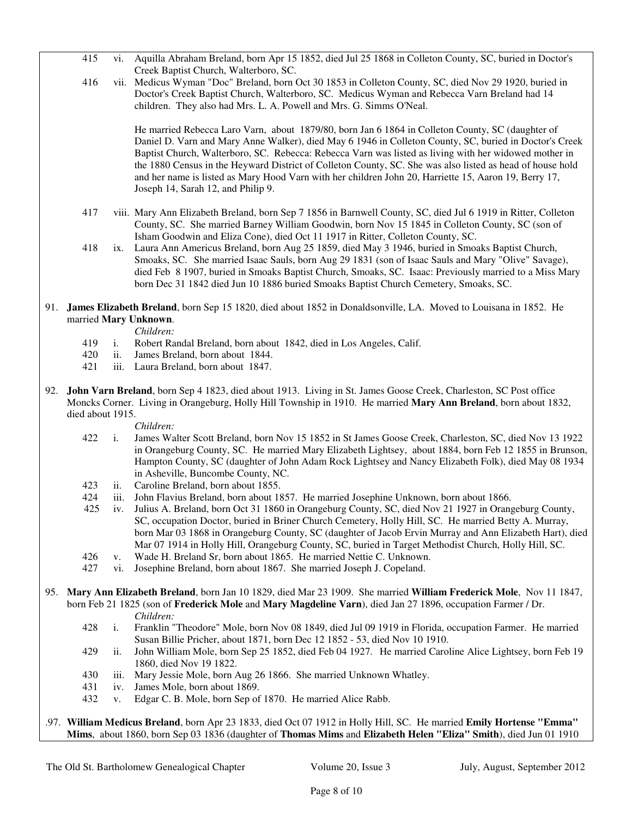|                                                                                                                                              | 415                                                                                                                                                                                                                                                     | vi.            | Aquilla Abraham Breland, born Apr 15 1852, died Jul 25 1868 in Colleton County, SC, buried in Doctor's<br>Creek Baptist Church, Walterboro, SC.                                                                                                                                                                                                                                                                                                                                                                                           |
|----------------------------------------------------------------------------------------------------------------------------------------------|---------------------------------------------------------------------------------------------------------------------------------------------------------------------------------------------------------------------------------------------------------|----------------|-------------------------------------------------------------------------------------------------------------------------------------------------------------------------------------------------------------------------------------------------------------------------------------------------------------------------------------------------------------------------------------------------------------------------------------------------------------------------------------------------------------------------------------------|
|                                                                                                                                              | 416                                                                                                                                                                                                                                                     |                | vii. Medicus Wyman "Doc" Breland, born Oct 30 1853 in Colleton County, SC, died Nov 29 1920, buried in<br>Doctor's Creek Baptist Church, Walterboro, SC. Medicus Wyman and Rebecca Varn Breland had 14                                                                                                                                                                                                                                                                                                                                    |
|                                                                                                                                              |                                                                                                                                                                                                                                                         |                | children. They also had Mrs. L. A. Powell and Mrs. G. Simms O'Neal.                                                                                                                                                                                                                                                                                                                                                                                                                                                                       |
|                                                                                                                                              |                                                                                                                                                                                                                                                         |                | He married Rebecca Laro Varn, about 1879/80, born Jan 6 1864 in Colleton County, SC (daughter of<br>Daniel D. Varn and Mary Anne Walker), died May 6 1946 in Colleton County, SC, buried in Doctor's Creek<br>Baptist Church, Walterboro, SC. Rebecca: Rebecca Varn was listed as living with her widowed mother in<br>the 1880 Census in the Heyward District of Colleton County, SC. She was also listed as head of house hold<br>and her name is listed as Mary Hood Varn with her children John 20, Harriette 15, Aaron 19, Berry 17, |
|                                                                                                                                              |                                                                                                                                                                                                                                                         |                | Joseph 14, Sarah 12, and Philip 9.                                                                                                                                                                                                                                                                                                                                                                                                                                                                                                        |
|                                                                                                                                              | 417                                                                                                                                                                                                                                                     |                | viii. Mary Ann Elizabeth Breland, born Sep 7 1856 in Barnwell County, SC, died Jul 6 1919 in Ritter, Colleton<br>County, SC. She married Barney William Goodwin, born Nov 15 1845 in Colleton County, SC (son of                                                                                                                                                                                                                                                                                                                          |
|                                                                                                                                              | 418                                                                                                                                                                                                                                                     |                | Isham Goodwin and Eliza Cone), died Oct 11 1917 in Ritter, Colleton County, SC.<br>ix. Laura Ann Americus Breland, born Aug 25 1859, died May 3 1946, buried in Smoaks Baptist Church,<br>Smoaks, SC. She married Isaac Sauls, born Aug 29 1831 (son of Isaac Sauls and Mary "Olive" Savage),<br>died Feb 8 1907, buried in Smoaks Baptist Church, Smoaks, SC. Isaac: Previously married to a Miss Mary<br>born Dec 31 1842 died Jun 10 1886 buried Smoaks Baptist Church Cemetery, Smoaks, SC.                                           |
| 91. James Elizabeth Breland, born Sep 15 1820, died about 1852 in Donaldsonville, LA. Moved to Louisana in 1852. He<br>married Mary Unknown. |                                                                                                                                                                                                                                                         | Children:      |                                                                                                                                                                                                                                                                                                                                                                                                                                                                                                                                           |
|                                                                                                                                              | 419                                                                                                                                                                                                                                                     | $i$ .          | Robert Randal Breland, born about 1842, died in Los Angeles, Calif.                                                                                                                                                                                                                                                                                                                                                                                                                                                                       |
|                                                                                                                                              | 420                                                                                                                                                                                                                                                     | ii.            | James Breland, born about 1844.                                                                                                                                                                                                                                                                                                                                                                                                                                                                                                           |
|                                                                                                                                              | 421                                                                                                                                                                                                                                                     |                | iii. Laura Breland, born about 1847.                                                                                                                                                                                                                                                                                                                                                                                                                                                                                                      |
|                                                                                                                                              |                                                                                                                                                                                                                                                         |                |                                                                                                                                                                                                                                                                                                                                                                                                                                                                                                                                           |
| 92.                                                                                                                                          | John Varn Breland, born Sep 4 1823, died about 1913. Living in St. James Goose Creek, Charleston, SC Post office<br>Moncks Corner. Living in Orangeburg, Holly Hill Township in 1910. He married Mary Ann Breland, born about 1832,<br>died about 1915. |                |                                                                                                                                                                                                                                                                                                                                                                                                                                                                                                                                           |
|                                                                                                                                              |                                                                                                                                                                                                                                                         |                | Children:                                                                                                                                                                                                                                                                                                                                                                                                                                                                                                                                 |
|                                                                                                                                              | 422                                                                                                                                                                                                                                                     | $\mathbf{i}$ . | James Walter Scott Breland, born Nov 15 1852 in St James Goose Creek, Charleston, SC, died Nov 13 1922                                                                                                                                                                                                                                                                                                                                                                                                                                    |
|                                                                                                                                              |                                                                                                                                                                                                                                                         |                | in Orangeburg County, SC. He married Mary Elizabeth Lightsey, about 1884, born Feb 12 1855 in Brunson,<br>Hampton County, SC (daughter of John Adam Rock Lightsey and Nancy Elizabeth Folk), died May 08 1934<br>in Asheville, Buncombe County, NC.                                                                                                                                                                                                                                                                                       |
|                                                                                                                                              | 423                                                                                                                                                                                                                                                     | ii.            | Caroline Breland, born about 1855.                                                                                                                                                                                                                                                                                                                                                                                                                                                                                                        |
|                                                                                                                                              | 424                                                                                                                                                                                                                                                     | iii.           | John Flavius Breland, born about 1857. He married Josephine Unknown, born about 1866.                                                                                                                                                                                                                                                                                                                                                                                                                                                     |
|                                                                                                                                              | 425                                                                                                                                                                                                                                                     |                | iv. Julius A. Breland, born Oct 31 1860 in Orangeburg County, SC, died Nov 21 1927 in Orangeburg County,<br>SC, occupation Doctor, buried in Briner Church Cemetery, Holly Hill, SC. He married Betty A. Murray,<br>born Mar 03 1868 in Orangeburg County, SC (daughter of Jacob Ervin Murray and Ann Elizabeth Hart), died                                                                                                                                                                                                               |
|                                                                                                                                              |                                                                                                                                                                                                                                                         |                | Mar 07 1914 in Holly Hill, Orangeburg County, SC, buried in Target Methodist Church, Holly Hill, SC.                                                                                                                                                                                                                                                                                                                                                                                                                                      |
|                                                                                                                                              | 426                                                                                                                                                                                                                                                     | V.             | Wade H. Breland Sr, born about 1865. He married Nettie C. Unknown.                                                                                                                                                                                                                                                                                                                                                                                                                                                                        |
|                                                                                                                                              | 427                                                                                                                                                                                                                                                     | vi.            | Josephine Breland, born about 1867. She married Joseph J. Copeland.                                                                                                                                                                                                                                                                                                                                                                                                                                                                       |
|                                                                                                                                              |                                                                                                                                                                                                                                                         |                | 95. Mary Ann Elizabeth Breland, born Jan 10 1829, died Mar 23 1909. She married William Frederick Mole, Nov 11 1847,<br>born Feb 21 1825 (son of Frederick Mole and Mary Magdeline Varn), died Jan 27 1896, occupation Farmer / Dr.                                                                                                                                                                                                                                                                                                       |
|                                                                                                                                              |                                                                                                                                                                                                                                                         |                | Children:                                                                                                                                                                                                                                                                                                                                                                                                                                                                                                                                 |
|                                                                                                                                              | 428                                                                                                                                                                                                                                                     | i.             | Franklin "Theodore" Mole, born Nov 08 1849, died Jul 09 1919 in Florida, occupation Farmer. He married<br>Susan Billie Pricher, about 1871, born Dec 12 1852 - 53, died Nov 10 1910.                                                                                                                                                                                                                                                                                                                                                      |
|                                                                                                                                              | 429                                                                                                                                                                                                                                                     | ii.            | John William Mole, born Sep 25 1852, died Feb 04 1927. He married Caroline Alice Lightsey, born Feb 19<br>1860, died Nov 19 1822.                                                                                                                                                                                                                                                                                                                                                                                                         |
|                                                                                                                                              | 430                                                                                                                                                                                                                                                     | 111.           | Mary Jessie Mole, born Aug 26 1866. She married Unknown Whatley.                                                                                                                                                                                                                                                                                                                                                                                                                                                                          |
|                                                                                                                                              | 431                                                                                                                                                                                                                                                     | iv.            | James Mole, born about 1869.                                                                                                                                                                                                                                                                                                                                                                                                                                                                                                              |
|                                                                                                                                              | 432                                                                                                                                                                                                                                                     | V.             | Edgar C. B. Mole, born Sep of 1870. He married Alice Rabb.                                                                                                                                                                                                                                                                                                                                                                                                                                                                                |
|                                                                                                                                              |                                                                                                                                                                                                                                                         |                | .97. William Medicus Breland, born Apr 23 1833, died Oct 07 1912 in Holly Hill, SC. He married Emily Hortense "Emma"                                                                                                                                                                                                                                                                                                                                                                                                                      |

**Mims**, about 1860, born Sep 03 1836 (daughter of **Thomas Mims** and **Elizabeth Helen "Eliza" Smith**), died Jun 01 1910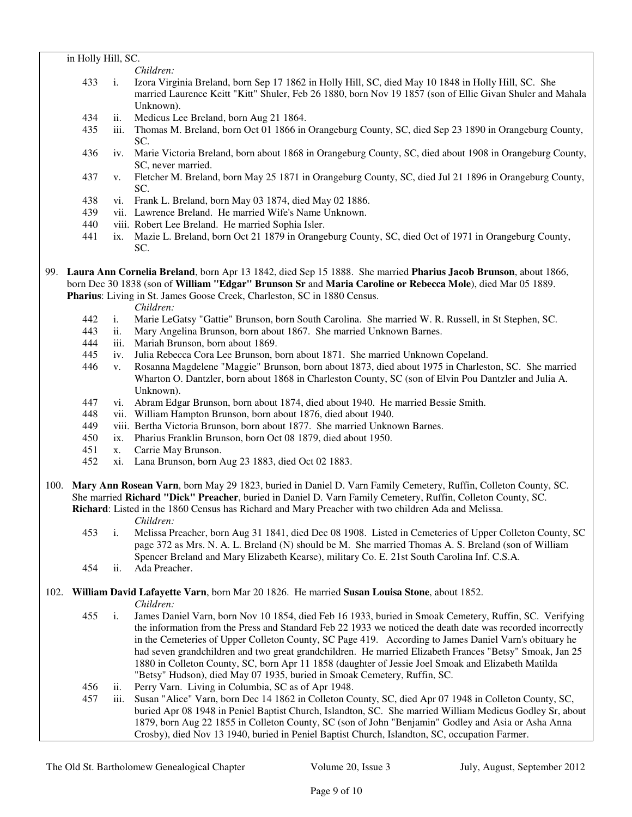# in Holly Hill, SC.

*Children:*

- 433 i. Izora Virginia Breland, born Sep 17 1862 in Holly Hill, SC, died May 10 1848 in Holly Hill, SC. She married Laurence Keitt "Kitt" Shuler, Feb 26 1880, born Nov 19 1857 (son of Ellie Givan Shuler and Mahala Unknown).
- 434 ii. Medicus Lee Breland, born Aug 21 1864.
- 435 iii. Thomas M. Breland, born Oct 01 1866 in Orangeburg County, SC, died Sep 23 1890 in Orangeburg County, SC.
- 436 iv. Marie Victoria Breland, born about 1868 in Orangeburg County, SC, died about 1908 in Orangeburg County, SC, never married.
- 437 v. Fletcher M. Breland, born May 25 1871 in Orangeburg County, SC, died Jul 21 1896 in Orangeburg County, SC.
- 438 vi. Frank L. Breland, born May 03 1874, died May 02 1886.
- 439 vii. Lawrence Breland. He married Wife's Name Unknown.
- 440 viii. Robert Lee Breland. He married Sophia Isler.
- 441 ix. Mazie L. Breland, born Oct 21 1879 in Orangeburg County, SC, died Oct of 1971 in Orangeburg County, SC.

99. **Laura Ann Cornelia Breland**, born Apr 13 1842, died Sep 15 1888. She married **Pharius Jacob Brunson**, about 1866, born Dec 30 1838 (son of **William "Edgar" Brunson Sr** and **Maria Caroline or Rebecca Mole**), died Mar 05 1889. **Pharius**: Living in St. James Goose Creek, Charleston, SC in 1880 Census.

*Children:*

- 442 i. Marie LeGatsy "Gattie" Brunson, born South Carolina. She married W. R. Russell, in St Stephen, SC. 443 ii. Mary Angelina Brunson, born about 1867. She married Unknown Barnes.
- ii. Mary Angelina Brunson, born about 1867. She married Unknown Barnes.
- 444 iii. Mariah Brunson, born about 1869.
- 445 iv. Julia Rebecca Cora Lee Brunson, born about 1871. She married Unknown Copeland.
- 446 v. Rosanna Magdelene "Maggie" Brunson, born about 1873, died about 1975 in Charleston, SC. She married Wharton O. Dantzler, born about 1868 in Charleston County, SC (son of Elvin Pou Dantzler and Julia A. Unknown).
- 447 vi. Abram Edgar Brunson, born about 1874, died about 1940. He married Bessie Smith.
- 448 vii. William Hampton Brunson, born about 1876, died about 1940.
- 449 viii. Bertha Victoria Brunson, born about 1877. She married Unknown Barnes.
- 450 ix. Pharius Franklin Brunson, born Oct 08 1879, died about 1950.
- 451 x. Carrie May Brunson.
- 452 xi. Lana Brunson, born Aug 23 1883, died Oct 02 1883.
- 100. **Mary Ann Rosean Varn**, born May 29 1823, buried in Daniel D. Varn Family Cemetery, Ruffin, Colleton County, SC. She married **Richard "Dick" Preacher**, buried in Daniel D. Varn Family Cemetery, Ruffin, Colleton County, SC. **Richard**: Listed in the 1860 Census has Richard and Mary Preacher with two children Ada and Melissa. *Children:*
	- 453 i. Melissa Preacher, born Aug 31 1841, died Dec 08 1908. Listed in Cemeteries of Upper Colleton County, SC page 372 as Mrs. N. A. L. Breland (N) should be M. She married Thomas A. S. Breland (son of William Spencer Breland and Mary Elizabeth Kearse), military Co. E. 21st South Carolina Inf. C.S.A.
	- 454 ii. Ada Preacher.

# 102. **William David Lafayette Varn**, born Mar 20 1826. He married **Susan Louisa Stone**, about 1852.

- 455 i. James Daniel Varn, born Nov 10 1854, died Feb 16 1933, buried in Smoak Cemetery, Ruffin, SC. Verifying the information from the Press and Standard Feb 22 1933 we noticed the death date was recorded incorrectly in the Cemeteries of Upper Colleton County, SC Page 419. According to James Daniel Varn's obituary he had seven grandchildren and two great grandchildren. He married Elizabeth Frances "Betsy" Smoak, Jan 25 1880 in Colleton County, SC, born Apr 11 1858 (daughter of Jessie Joel Smoak and Elizabeth Matilda "Betsy" Hudson), died May 07 1935, buried in Smoak Cemetery, Ruffin, SC.
- 456 ii. Perry Varn. Living in Columbia, SC as of Apr 1948.
- 457 iii. Susan "Alice" Varn, born Dec 14 1862 in Colleton County, SC, died Apr 07 1948 in Colleton County, SC, buried Apr 08 1948 in Peniel Baptist Church, Islandton, SC. She married William Medicus Godley Sr, about 1879, born Aug 22 1855 in Colleton County, SC (son of John "Benjamin" Godley and Asia or Asha Anna Crosby), died Nov 13 1940, buried in Peniel Baptist Church, Islandton, SC, occupation Farmer.